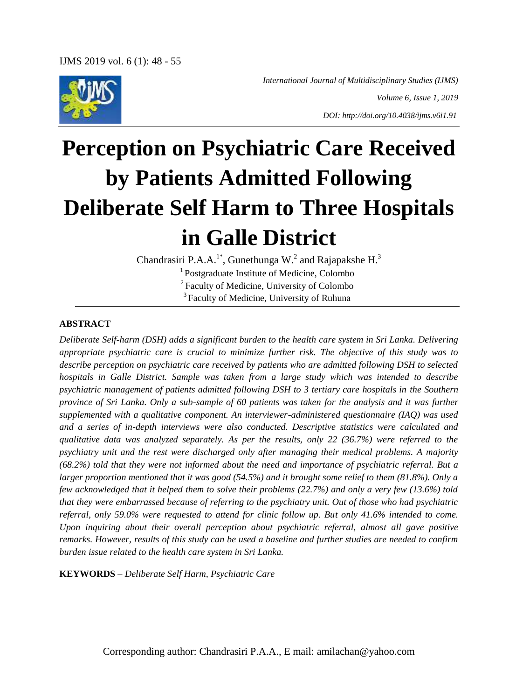

*International Journal of Multidisciplinary Studies (IJMS)*

*Volume 6, Issue 1, 2019*

*DOI: http://doi.org/10.4038/ijms.v6i1.91*

# **Perception on Psychiatric Care Received by Patients Admitted Following Deliberate Self Harm to Three Hospitals in Galle District**

Chandrasiri P.A.A.<sup>1\*</sup>, Gunethunga W.<sup>2</sup> and Rajapakshe H.<sup>3</sup> <sup>1</sup> Postgraduate Institute of Medicine, Colombo <sup>2</sup> Faculty of Medicine, University of Colombo <sup>3</sup> Faculty of Medicine, University of Ruhuna

#### **ABSTRACT**

*Deliberate Self-harm (DSH) adds a significant burden to the health care system in Sri Lanka. Delivering appropriate psychiatric care is crucial to minimize further risk. The objective of this study was to describe perception on psychiatric care received by patients who are admitted following DSH to selected hospitals in Galle District. Sample was taken from a large study which was intended to describe psychiatric management of patients admitted following DSH to 3 tertiary care hospitals in the Southern province of Sri Lanka. Only a sub-sample of 60 patients was taken for the analysis and it was further supplemented with a qualitative component. An interviewer-administered questionnaire (IAQ) was used and a series of in-depth interviews were also conducted. Descriptive statistics were calculated and qualitative data was analyzed separately. As per the results, only 22 (36.7%) were referred to the psychiatry unit and the rest were discharged only after managing their medical problems. A majority (68.2%) told that they were not informed about the need and importance of psychiatric referral. But a larger proportion mentioned that it was good (54.5%) and it brought some relief to them (81.8%). Only a few acknowledged that it helped them to solve their problems (22.7%) and only a very few (13.6%) told that they were embarrassed because of referring to the psychiatry unit. Out of those who had psychiatric referral, only 59.0% were requested to attend for clinic follow up. But only 41.6% intended to come. Upon inquiring about their overall perception about psychiatric referral, almost all gave positive remarks. However, results of this study can be used a baseline and further studies are needed to confirm burden issue related to the health care system in Sri Lanka.*

**KEYWORDS** – *Deliberate Self Harm, Psychiatric Care*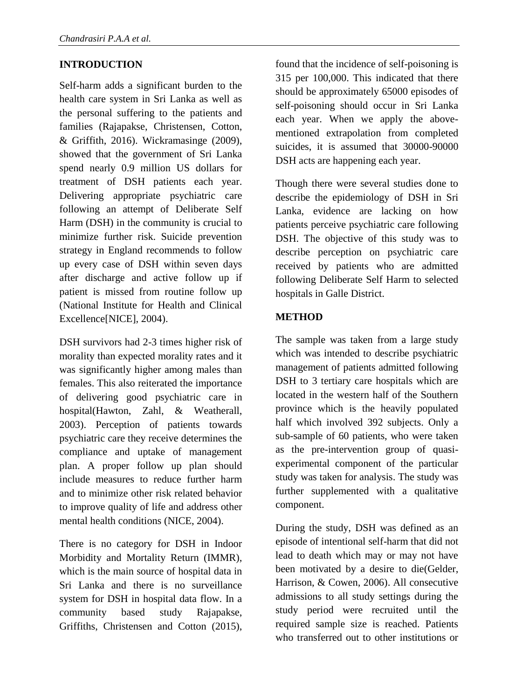### **INTRODUCTION**

Self-harm adds a significant burden to the health care system in Sri Lanka as well as the personal suffering to the patients and families (Rajapakse, Christensen, Cotton, & Griffith, 2016). Wickramasinge (2009), showed that the government of Sri Lanka spend nearly 0.9 million US dollars for treatment of DSH patients each year. Delivering appropriate psychiatric care following an attempt of Deliberate Self Harm (DSH) in the community is crucial to minimize further risk. Suicide prevention strategy in England recommends to follow up every case of DSH within seven days after discharge and active follow up if patient is missed from routine follow up (National Institute for Health and Clinical Excellence[NICE], 2004).

DSH survivors had 2-3 times higher risk of morality than expected morality rates and it was significantly higher among males than females. This also reiterated the importance of delivering good psychiatric care in hospital(Hawton, Zahl, & Weatherall, 2003). Perception of patients towards psychiatric care they receive determines the compliance and uptake of management plan. A proper follow up plan should include measures to reduce further harm and to minimize other risk related behavior to improve quality of life and address other mental health conditions (NICE, 2004).

There is no category for DSH in Indoor Morbidity and Mortality Return (IMMR), which is the main source of hospital data in Sri Lanka and there is no surveillance system for DSH in hospital data flow. In a community based study Rajapakse, Griffiths, Christensen and Cotton (2015), found that the incidence of self-poisoning is 315 per 100,000. This indicated that there should be approximately 65000 episodes of self-poisoning should occur in Sri Lanka each year. When we apply the abovementioned extrapolation from completed suicides, it is assumed that 30000-90000 DSH acts are happening each year.

Though there were several studies done to describe the epidemiology of DSH in Sri Lanka, evidence are lacking on how patients perceive psychiatric care following DSH. The objective of this study was to describe perception on psychiatric care received by patients who are admitted following Deliberate Self Harm to selected hospitals in Galle District.

#### **METHOD**

The sample was taken from a large study which was intended to describe psychiatric management of patients admitted following DSH to 3 tertiary care hospitals which are located in the western half of the Southern province which is the heavily populated half which involved 392 subjects. Only a sub-sample of 60 patients, who were taken as the pre-intervention group of quasiexperimental component of the particular study was taken for analysis. The study was further supplemented with a qualitative component.

During the study, DSH was defined as an episode of intentional self-harm that did not lead to death which may or may not have been motivated by a desire to die(Gelder, Harrison, & Cowen, 2006). All consecutive admissions to all study settings during the study period were recruited until the required sample size is reached. Patients who transferred out to other institutions or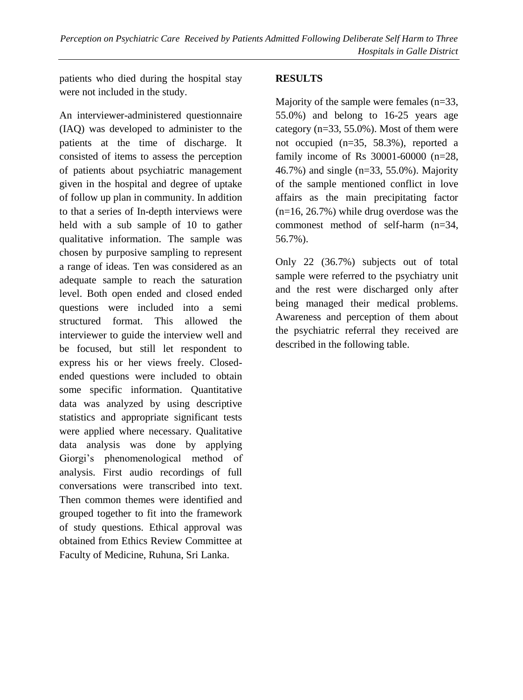patients who died during the hospital stay were not included in the study.

An interviewer-administered questionnaire (IAQ) was developed to administer to the patients at the time of discharge. It consisted of items to assess the perception of patients about psychiatric management given in the hospital and degree of uptake of follow up plan in community. In addition to that a series of In-depth interviews were held with a sub sample of 10 to gather qualitative information. The sample was chosen by purposive sampling to represent a range of ideas. Ten was considered as an adequate sample to reach the saturation level. Both open ended and closed ended questions were included into a semi structured format. This allowed the interviewer to guide the interview well and be focused, but still let respondent to express his or her views freely. Closedended questions were included to obtain some specific information. Quantitative data was analyzed by using descriptive statistics and appropriate significant tests were applied where necessary. Qualitative data analysis was done by applying Giorgi's phenomenological method of analysis. First audio recordings of full conversations were transcribed into text. Then common themes were identified and grouped together to fit into the framework of study questions. Ethical approval was obtained from Ethics Review Committee at Faculty of Medicine, Ruhuna, Sri Lanka.

### **RESULTS**

Majority of the sample were females  $(n=33)$ , 55.0%) and belong to 16-25 years age category ( $n=33, 55.0\%$ ). Most of them were not occupied (n=35, 58.3%), reported a family income of Rs 30001-60000 (n=28, 46.7%) and single (n=33, 55.0%). Majority of the sample mentioned conflict in love affairs as the main precipitating factor  $(n=16, 26.7%)$  while drug overdose was the commonest method of self-harm (n=34, 56.7%).

Only 22 (36.7%) subjects out of total sample were referred to the psychiatry unit and the rest were discharged only after being managed their medical problems. Awareness and perception of them about the psychiatric referral they received are described in the following table.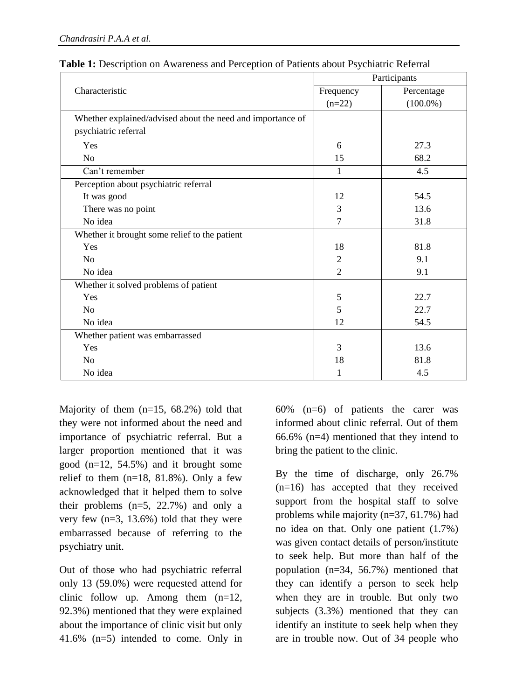| Characteristic                                             | Participants   |             |
|------------------------------------------------------------|----------------|-------------|
|                                                            | Frequency      | Percentage  |
|                                                            | $(n=22)$       | $(100.0\%)$ |
| Whether explained/advised about the need and importance of |                |             |
| psychiatric referral                                       |                |             |
| Yes                                                        | 6              | 27.3        |
| No                                                         | 15             | 68.2        |
| Can't remember                                             | 1              | 4.5         |
| Perception about psychiatric referral                      |                |             |
| It was good                                                | 12             | 54.5        |
| There was no point                                         | 3              | 13.6        |
| No idea                                                    | $\tau$         | 31.8        |
| Whether it brought some relief to the patient              |                |             |
| Yes                                                        | 18             | 81.8        |
| N <sub>o</sub>                                             | $\mathfrak{2}$ | 9.1         |
| No idea                                                    | $\overline{2}$ | 9.1         |
| Whether it solved problems of patient                      |                |             |
| Yes                                                        | 5              | 22.7        |
| N <sub>o</sub>                                             | 5              | 22.7        |
| No idea                                                    | 12             | 54.5        |
| Whether patient was embarrassed                            |                |             |
| Yes                                                        | 3              | 13.6        |
| N <sub>0</sub>                                             | 18             | 81.8        |
| No idea                                                    | 1              | 4.5         |

| <b>Table 1:</b> Description on Awareness and Perception of Patients about Psychiatric Referral |  |  |  |
|------------------------------------------------------------------------------------------------|--|--|--|
|------------------------------------------------------------------------------------------------|--|--|--|

Majority of them (n=15, 68.2%) told that they were not informed about the need and importance of psychiatric referral. But a larger proportion mentioned that it was good (n=12, 54.5%) and it brought some relief to them  $(n=18, 81.8%)$ . Only a few acknowledged that it helped them to solve their problems (n=5, 22.7%) and only a very few (n=3, 13.6%) told that they were embarrassed because of referring to the psychiatry unit.

Out of those who had psychiatric referral only 13 (59.0%) were requested attend for clinic follow up. Among them  $(n=12)$ , 92.3%) mentioned that they were explained about the importance of clinic visit but only 41.6% (n=5) intended to come. Only in 60% (n=6) of patients the carer was informed about clinic referral. Out of them 66.6% (n=4) mentioned that they intend to bring the patient to the clinic.

By the time of discharge, only 26.7% (n=16) has accepted that they received support from the hospital staff to solve problems while majority (n=37, 61.7%) had no idea on that. Only one patient (1.7%) was given contact details of person/institute to seek help. But more than half of the population (n=34, 56.7%) mentioned that they can identify a person to seek help when they are in trouble. But only two subjects (3.3%) mentioned that they can identify an institute to seek help when they are in trouble now. Out of 34 people who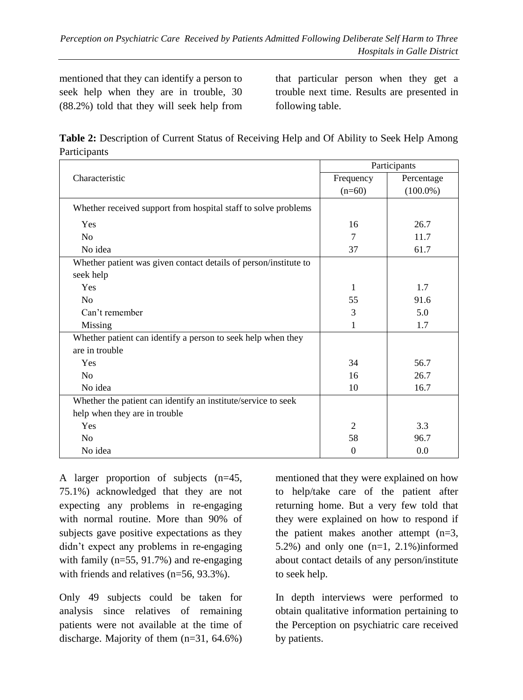mentioned that they can identify a person to seek help when they are in trouble, 30 (88.2%) told that they will seek help from

that particular person when they get a trouble next time. Results are presented in following table.

**Table 2:** Description of Current Status of Receiving Help and Of Ability to Seek Help Among Participants

|                                                                  | Participants   |             |
|------------------------------------------------------------------|----------------|-------------|
| Characteristic                                                   | Frequency      | Percentage  |
|                                                                  | $(n=60)$       | $(100.0\%)$ |
| Whether received support from hospital staff to solve problems   |                |             |
| Yes                                                              | 16             | 26.7        |
| N <sub>0</sub>                                                   | 7              | 11.7        |
| No idea                                                          | 37             | 61.7        |
| Whether patient was given contact details of person/institute to |                |             |
| seek help                                                        |                |             |
| Yes                                                              | 1              | 1.7         |
| No                                                               | 55             | 91.6        |
| Can't remember                                                   | 3              | 5.0         |
| Missing                                                          | 1              | 1.7         |
| Whether patient can identify a person to seek help when they     |                |             |
| are in trouble                                                   |                |             |
| Yes                                                              | 34             | 56.7        |
| No                                                               | 16             | 26.7        |
| No idea                                                          | 10             | 16.7        |
| Whether the patient can identify an institute/service to seek    |                |             |
| help when they are in trouble                                    |                |             |
| Yes                                                              | $\overline{c}$ | 3.3         |
| No                                                               | 58             | 96.7        |
| No idea                                                          | $\Omega$       | 0.0         |

A larger proportion of subjects (n=45, 75.1%) acknowledged that they are not expecting any problems in re-engaging with normal routine. More than 90% of subjects gave positive expectations as they didn't expect any problems in re-engaging with family (n=55, 91.7%) and re-engaging with friends and relatives (n=56, 93.3%).

Only 49 subjects could be taken for analysis since relatives of remaining patients were not available at the time of discharge. Majority of them (n=31, 64.6%)

mentioned that they were explained on how to help/take care of the patient after returning home. But a very few told that they were explained on how to respond if the patient makes another attempt (n=3, 5.2%) and only one  $(n=1, 2.1\%)$  informed about contact details of any person/institute to seek help.

In depth interviews were performed to obtain qualitative information pertaining to the Perception on psychiatric care received by patients.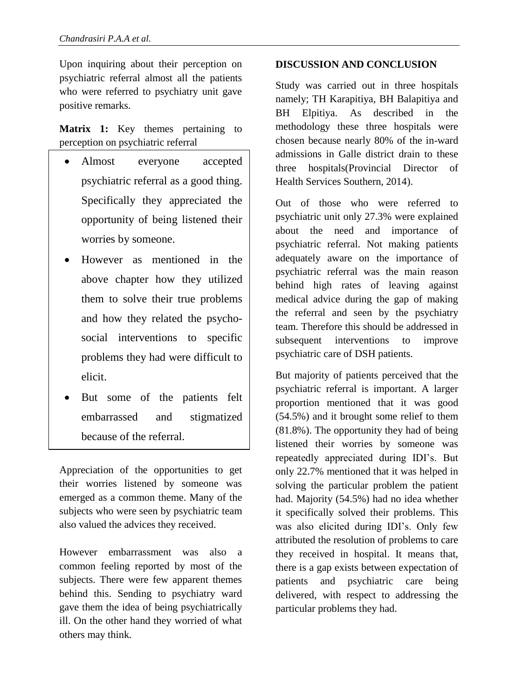Upon inquiring about their perception on psychiatric referral almost all the patients who were referred to psychiatry unit gave positive remarks.

**Matrix 1:** Key themes pertaining to perception on psychiatric referral

- Almost everyone accepted psychiatric referral as a good thing. Specifically they appreciated the opportunity of being listened their worries by someone.
- However as mentioned in the above chapter how they utilized them to solve their true problems and how they related the psychosocial interventions to specific problems they had were difficult to elicit.
- But some of the patients felt embarrassed and stigmatized because of the referral.

Appreciation of the opportunities to get their worries listened by someone was emerged as a common theme. Many of the subjects who were seen by psychiatric team also valued the advices they received.

However embarrassment was also a common feeling reported by most of the subjects. There were few apparent themes behind this. Sending to psychiatry ward gave them the idea of being psychiatrically ill. On the other hand they worried of what others may think.

#### **DISCUSSION AND CONCLUSION**

Study was carried out in three hospitals namely; TH Karapitiya, BH Balapitiya and BH Elpitiya. As described in the methodology these three hospitals were chosen because nearly 80% of the in-ward admissions in Galle district drain to these three hospitals(Provincial Director of Health Services Southern, 2014).

Out of those who were referred to psychiatric unit only 27.3% were explained about the need and importance of psychiatric referral. Not making patients adequately aware on the importance of psychiatric referral was the main reason behind high rates of leaving against medical advice during the gap of making the referral and seen by the psychiatry team. Therefore this should be addressed in subsequent interventions to improve psychiatric care of DSH patients.

But majority of patients perceived that the psychiatric referral is important. A larger proportion mentioned that it was good (54.5%) and it brought some relief to them (81.8%). The opportunity they had of being listened their worries by someone was repeatedly appreciated during IDI's. But only 22.7% mentioned that it was helped in solving the particular problem the patient had. Majority (54.5%) had no idea whether it specifically solved their problems. This was also elicited during IDI's. Only few attributed the resolution of problems to care they received in hospital. It means that, there is a gap exists between expectation of patients and psychiatric care being delivered, with respect to addressing the particular problems they had.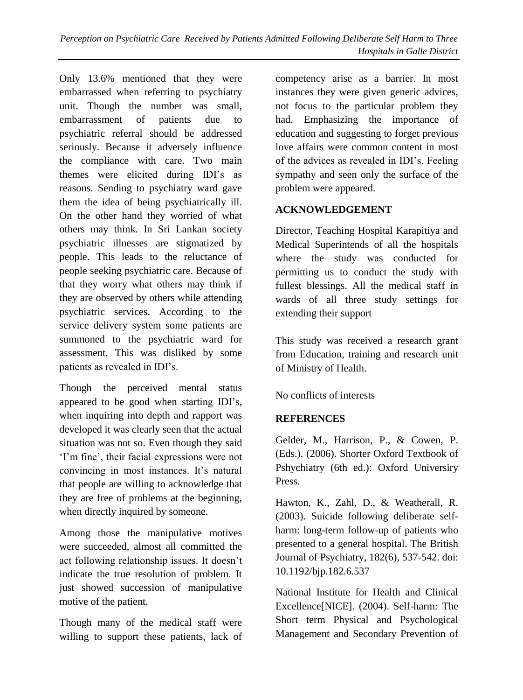Only 13.6% mentioned that they were embarrassed when referring to psychiatry unit. Though the number was small, embarrassment of patients due to psychiatric referral should be addressed seriously. Because it adversely influence the compliance with care. Two main themes were elicited during IDI's as reasons. Sending to psychiatry ward gave them the idea of being psychiatrically ill. On the other hand they worried of what others may think. In Sri Lankan society psychiatric illnesses are stigmatized by people. This leads to the reluctance of people seeking psychiatric care. Because of that they worry what others may think if they are observed by others while attending psychiatric services. According to the service delivery system some patients are summoned to the psychiatric ward for assessment. This was disliked by some patients as revealed in IDI's.

Though the perceived mental status appeared to be good when starting IDI's, when inquiring into depth and rapport was developed it was clearly seen that the actual situation was not so. Even though they said 'I'm fine', their facial expressions were not convincing in most instances. It's natural that people are willing to acknowledge that they are free of problems at the beginning, when directly inquired by someone.

Among those the manipulative motives were succeeded, almost all committed the act following relationship issues. It doesn't indicate the true resolution of problem. It just showed succession of manipulative motive of the patient.

Though many of the medical staff were willing to support these patients, lack of competency arise as a barrier. In most instances they were given generic advices, not focus to the particular problem they had. Emphasizing the importance of education and suggesting to forget previous love affairs were common content in most of the advices as revealed in IDI's. Feeling sympathy and seen only the surface of the problem were appeared.

#### **ACKNOWLEDGEMENT**

Director, Teaching Hospital Karapitiya and Medical Superintends of all the hospitals where the study was conducted for permitting us to conduct the study with fullest blessings. All the medical staff in wards of all three study settings for extending their support

This study was received a research grant from Education, training and research unit of Ministry of Health.

No conflicts of interests

## **REFERENCES**

Gelder, M., Harrison, P., & Cowen, P. (Eds.). (2006). Shorter Oxford Textbook of Pshychiatry (6th ed.): Oxford Universiry Press.

Hawton, K., Zahl, D., & Weatherall, R. (2003). Suicide following deliberate selfharm: long-term follow-up of patients who presented to a general hospital. The British Journal of Psychiatry, 182(6), 537-542. doi: 10.1192/bjp.182.6.537

National Institute for Health and Clinical Excellence[NICE]. (2004). Self-harm: The Short term Physical and Psychological Management and Secondary Prevention of